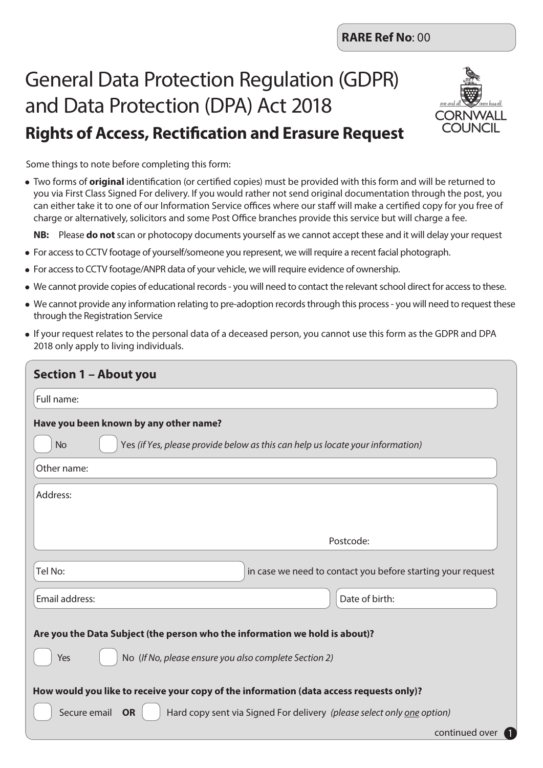# General Data Protection Regulation (GDPR) and Data Protection (DPA) Act 2018 **Rights of Access, Rectification and Erasure Request**



1

Some things to note before completing this form:

• Two forms of **original** identification (or certified copies) must be provided with this form and will be returned to you via First Class Signed For delivery. If you would rather not send original documentation through the post, you can either take it to one of our Information Service offices where our staff will make a certified copy for you free of charge or alternatively, solicitors and some Post Office branches provide this service but will charge a fee.

**NB:** Please **do not** scan or photocopy documents yourself as we cannot accept these and it will delay your request

- For access to CCTV footage of yourself/someone you represent, we will require a recent facial photograph.
- For access to CCTV footage/ANPR data of your vehicle, we will require evidence of ownership.
- We cannot provide copies of educational records you will need to contact the relevant school direct for access to these.
- We cannot provide any information relating to pre-adoption records through this process you will need to request these through the Registration Service
- If your request relates to the personal data of a deceased person, you cannot use this form as the GDPR and DPA 2018 only apply to living individuals.

| Section 1 - About you                                                                                                                       |                                                                                |
|---------------------------------------------------------------------------------------------------------------------------------------------|--------------------------------------------------------------------------------|
| Full name:                                                                                                                                  |                                                                                |
| Have you been known by any other name?                                                                                                      |                                                                                |
| <b>No</b>                                                                                                                                   | Yes (if Yes, please provide below as this can help us locate your information) |
| Other name:                                                                                                                                 |                                                                                |
| Address:                                                                                                                                    |                                                                                |
|                                                                                                                                             |                                                                                |
|                                                                                                                                             | Postcode:                                                                      |
| Tel No:                                                                                                                                     | in case we need to contact you before starting your request                    |
| Email address:                                                                                                                              | Date of birth:                                                                 |
| Are you the Data Subject (the person who the information we hold is about)?<br>No (If No, please ensure you also complete Section 2)<br>Yes |                                                                                |
| How would you like to receive your copy of the information (data access requests only)?                                                     |                                                                                |
| Secure email<br><b>OR</b>                                                                                                                   | Hard copy sent via Signed For delivery (please select only one option)         |
|                                                                                                                                             | continued over                                                                 |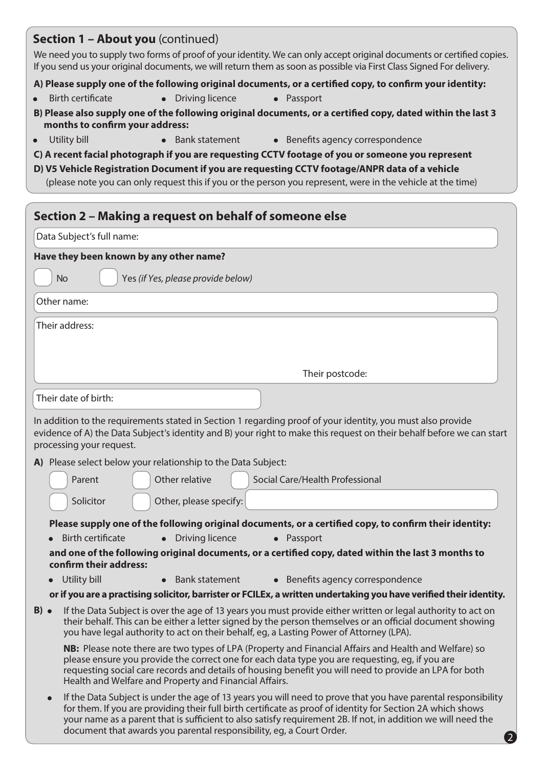| <b>Section 1 - About you</b> (continued)                      |                                                        |                                                                                                                                                                                                                                                                                                                                                                                                                       |
|---------------------------------------------------------------|--------------------------------------------------------|-----------------------------------------------------------------------------------------------------------------------------------------------------------------------------------------------------------------------------------------------------------------------------------------------------------------------------------------------------------------------------------------------------------------------|
|                                                               |                                                        | We need you to supply two forms of proof of your identity. We can only accept original documents or certified copies.<br>If you send us your original documents, we will return them as soon as possible via First Class Signed For delivery.                                                                                                                                                                         |
|                                                               |                                                        | A) Please supply one of the following original documents, or a certified copy, to confirm your identity:                                                                                                                                                                                                                                                                                                              |
| <b>Birth certificate</b>                                      | <b>Driving licence</b><br>$\bullet$                    | • Passport                                                                                                                                                                                                                                                                                                                                                                                                            |
| months to confirm your address:                               |                                                        | B) Please also supply one of the following original documents, or a certified copy, dated within the last 3                                                                                                                                                                                                                                                                                                           |
| Utility bill<br>$\bullet$                                     | <b>Bank statement</b>                                  | • Benefits agency correspondence                                                                                                                                                                                                                                                                                                                                                                                      |
|                                                               |                                                        | C) A recent facial photograph if you are requesting CCTV footage of you or someone you represent<br>D) V5 Vehicle Registration Document if you are requesting CCTV footage/ANPR data of a vehicle<br>(please note you can only request this if you or the person you represent, were in the vehicle at the time)                                                                                                      |
| Section 2 - Making a request on behalf of someone else        |                                                        |                                                                                                                                                                                                                                                                                                                                                                                                                       |
| Data Subject's full name:                                     |                                                        |                                                                                                                                                                                                                                                                                                                                                                                                                       |
| Have they been known by any other name?                       |                                                        |                                                                                                                                                                                                                                                                                                                                                                                                                       |
| <b>No</b>                                                     | Yes (if Yes, please provide below)                     |                                                                                                                                                                                                                                                                                                                                                                                                                       |
| Other name:                                                   |                                                        |                                                                                                                                                                                                                                                                                                                                                                                                                       |
| Their address:                                                |                                                        |                                                                                                                                                                                                                                                                                                                                                                                                                       |
|                                                               |                                                        | Their postcode:                                                                                                                                                                                                                                                                                                                                                                                                       |
| Their date of birth:                                          |                                                        |                                                                                                                                                                                                                                                                                                                                                                                                                       |
|                                                               |                                                        |                                                                                                                                                                                                                                                                                                                                                                                                                       |
| processing your request.                                      |                                                        | In addition to the requirements stated in Section 1 regarding proof of your identity, you must also provide<br>evidence of A) the Data Subject's identity and B) your right to make this request on their behalf before we can start                                                                                                                                                                                  |
| A) Please select below your relationship to the Data Subject: |                                                        |                                                                                                                                                                                                                                                                                                                                                                                                                       |
| Parent                                                        | Other relative                                         | Social Care/Health Professional                                                                                                                                                                                                                                                                                                                                                                                       |
| Solicitor                                                     | Other, please specify:                                 |                                                                                                                                                                                                                                                                                                                                                                                                                       |
|                                                               |                                                        | Please supply one of the following original documents, or a certified copy, to confirm their identity:                                                                                                                                                                                                                                                                                                                |
| <b>Birth certificate</b>                                      | Driving licence                                        | • Passport                                                                                                                                                                                                                                                                                                                                                                                                            |
| confirm their address:                                        |                                                        | and one of the following original documents, or a certified copy, dated within the last 3 months to                                                                                                                                                                                                                                                                                                                   |
| Utility bill                                                  | <b>Bank statement</b><br>$\bullet$                     | • Benefits agency correspondence                                                                                                                                                                                                                                                                                                                                                                                      |
|                                                               |                                                        | or if you are a practising solicitor, barrister or FCILEx, a written undertaking you have verified their identity.                                                                                                                                                                                                                                                                                                    |
| $B)$ $\bullet$                                                |                                                        | If the Data Subject is over the age of 13 years you must provide either written or legal authority to act on<br>their behalf. This can be either a letter signed by the person themselves or an official document showing<br>you have legal authority to act on their behalf, eg, a Lasting Power of Attorney (LPA).                                                                                                  |
|                                                               | Health and Welfare and Property and Financial Affairs. | NB: Please note there are two types of LPA (Property and Financial Affairs and Health and Welfare) so<br>please ensure you provide the correct one for each data type you are requesting, eg, if you are<br>requesting social care records and details of housing benefit you will need to provide an LPA for both                                                                                                    |
| $\bullet$                                                     |                                                        | If the Data Subject is under the age of 13 years you will need to prove that you have parental responsibility<br>for them. If you are providing their full birth certificate as proof of identity for Section 2A which shows<br>your name as a parent that is sufficient to also satisfy requirement 2B. If not, in addition we will need the<br>document that awards you parental responsibility, eg, a Court Order. |

2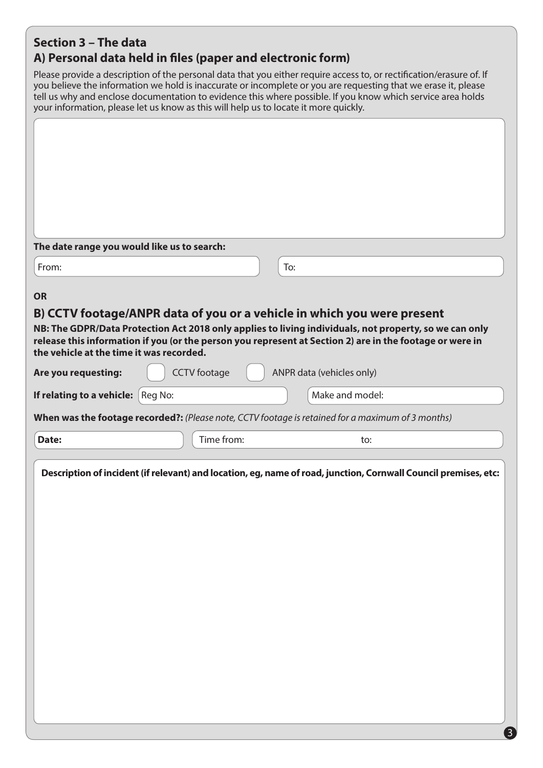## **Section 3 – The data A) Personal data held in files (paper and electronic form)**

Please provide a description of the personal data that you either require access to, or rectification/erasure of. If you believe the information we hold is inaccurate or incomplete or you are requesting that we erase it, please tell us why and enclose documentation to evidence this where possible. If you know which service area holds your information, please let us know as this will help us to locate it more quickly.

| The date range you would like us to search: |                     |                                                                                                                                                                                                                                                                                               |
|---------------------------------------------|---------------------|-----------------------------------------------------------------------------------------------------------------------------------------------------------------------------------------------------------------------------------------------------------------------------------------------|
| From:                                       |                     | To:                                                                                                                                                                                                                                                                                           |
| <b>OR</b>                                   |                     |                                                                                                                                                                                                                                                                                               |
| the vehicle at the time it was recorded.    |                     | B) CCTV footage/ANPR data of you or a vehicle in which you were present<br>NB: The GDPR/Data Protection Act 2018 only applies to living individuals, not property, so we can only<br>release this information if you (or the person you represent at Section 2) are in the footage or were in |
| Are you requesting:                         | <b>CCTV</b> footage | ANPR data (vehicles only)                                                                                                                                                                                                                                                                     |
| If relating to a vehicle:                   | Reg No:             | Make and model:                                                                                                                                                                                                                                                                               |
|                                             |                     | When was the footage recorded?: (Please note, CCTV footage is retained for a maximum of 3 months)                                                                                                                                                                                             |
|                                             |                     |                                                                                                                                                                                                                                                                                               |
| Date:                                       | Time from:          | to:                                                                                                                                                                                                                                                                                           |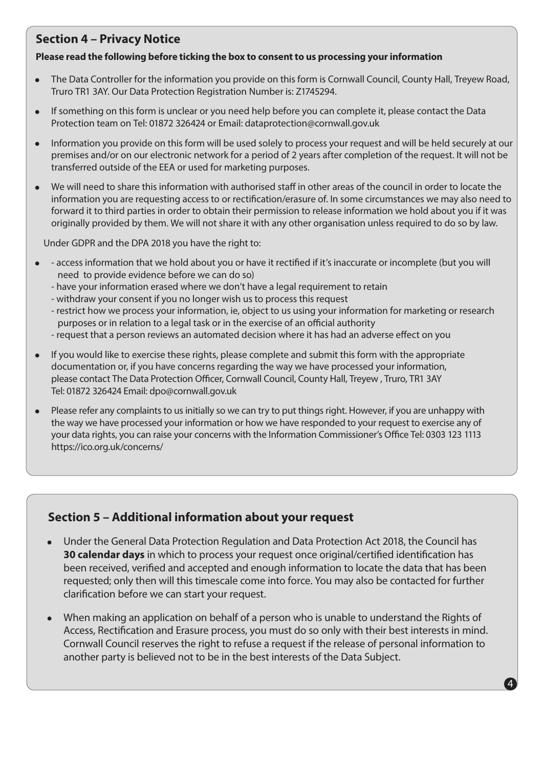## **Section 4 – Privacy Notice**

#### **Please read the following before ticking the box to consent to us processing your information**

- The Data Controller for the information you provide on this form is Cornwall Council, County Hall, Treyew Road, Truro TR1 3AY. Our Data Protection Registration Number is: Z1745294.
- If something on this form is unclear or you need help before you can complete it, please contact the Data Protection team on Tel: 01872 326424 or Email: dataprotection@cornwall.gov.uk
- Information you provide on this form will be used solely to process your request and will be held securely at our premises and/or on our electronic network for a period of 2 years after completion of the request. It will not be transferred outside of the EEA or used for marketing purposes.
- We will need to share this information with authorised staff in other areas of the council in order to locate the information you are requesting access to or rectification/erasure of. In some circumstances we may also need to forward it to third parties in order to obtain their permission to release information we hold about you if it was originally provided by them. We will not share it with any other organisation unless required to do so by law.

Under GDPR and the DPA 2018 you have the right to:

- - access information that we hold about you or have it rectified if it's inaccurate or incomplete (but you will need to provide evidence before we can do so)
	- have your information erased where we don't have a legal requirement to retain
	- withdraw your consent if you no longer wish us to process this request
	- restrict how we process your information, ie, object to us using your information for marketing or research purposes or in relation to a legal task or in the exercise of an official authority
	- request that a person reviews an automated decision where it has had an adverse effect on you
- If you would like to exercise these rights, please complete and submit this form with the appropriate documentation or, if you have concerns regarding the way we have processed your information, please contact The Data Protection Officer, Cornwall Council, County Hall, Treyew , Truro, TR1 3AY Tel: 01872 326424 Email: dpo@cornwall.gov.uk
- Please refer any complaints to us initially so we can try to put things right. However, if you are unhappy with the way we have processed your information or how we have responded to your request to exercise any of your data rights, you can raise your concerns with the Information Commissioner's Office Tel: 0303 123 1113 https://ico.org.uk/concerns/

## **Section 5 – Additional information about your request**

- Under the General Data Protection Regulation and Data Protection Act 2018, the Council has **30 calendar days** in which to process your request once original/certified identification has been received, verified and accepted and enough information to locate the data that has been requested; only then will this timescale come into force. You may also be contacted for further clarification before we can start your request.
- When making an application on behalf of a person who is unable to understand the Rights of Access, Rectification and Erasure process, you must do so only with their best interests in mind. Cornwall Council reserves the right to refuse a request if the release of personal information to another party is believed not to be in the best interests of the Data Subject.

4